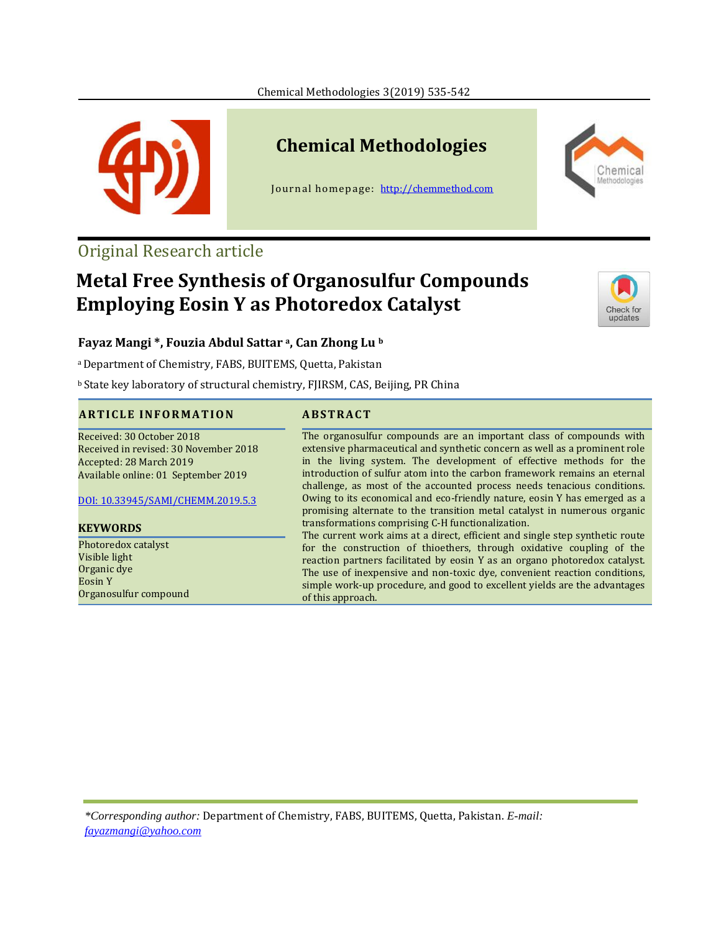

## **Chemical Methodologies**

Journal homepage: [http://chemmethod.com](http://chemmethod.com/)

## Original Research article

# **Metal Free Synthesis of Organosulfur Compounds Employing Eosin Y as Photoredox Catalyst**



Chemica

### **Fayaz Mangi \*, Fouzia Abdul Sattar <sup>a</sup>, Can Zhong Lu <sup>b</sup>**

<sup>a</sup>Department of Chemistry, FABS, BUITEMS, Quetta, Pakistan

**b State key laboratory of structural chemistry, FJIRSM, CAS, Beijing, PR China** 

#### **A R T I C L E I N F O R M A T I O N A B S T R A C T**

# Received: 30 October 2018

Received in revised: 30 November 2018 Accepted: 28 March 2019 Available online: 01 September 2019

#### DOI: [10.33945/SAMI/CHEMM.2019.5.3](https://dx.doi.org/10.33945/SAMI/CHEMM.2019.5.3)

**KEYWORDS**

Photoredox catalyst Visible light Organic dye Eosin Y Organosulfur compound

#### The organosulfur compounds are an important class of compounds with extensive pharmaceutical and synthetic concern as well as a prominent role in the living system. The development of effective methods for the introduction of sulfur atom into the carbon framework remains an eternal challenge, as most of the accounted process needs tenacious conditions. Owing to its economical and eco-friendly nature, eosin Y has emerged as a promising alternate to the transition metal catalyst in numerous organic transformations comprising C-H functionalization.

The current work aims at a direct, efficient and single step synthetic route for the construction of thioethers, through oxidative coupling of the reaction partners facilitated by eosin Y as an organo photoredox catalyst. The use of inexpensive and non-toxic dye, convenient reaction conditions, simple work-up procedure, and good to excellent yields are the advantages of this approach.

*\*Corresponding author:* Department of Chemistry, FABS, BUITEMS, Quetta, Pakistan. *E-mail: [fayazmangi@yahoo.com](mailto:fayazmangi@yahoo.com)*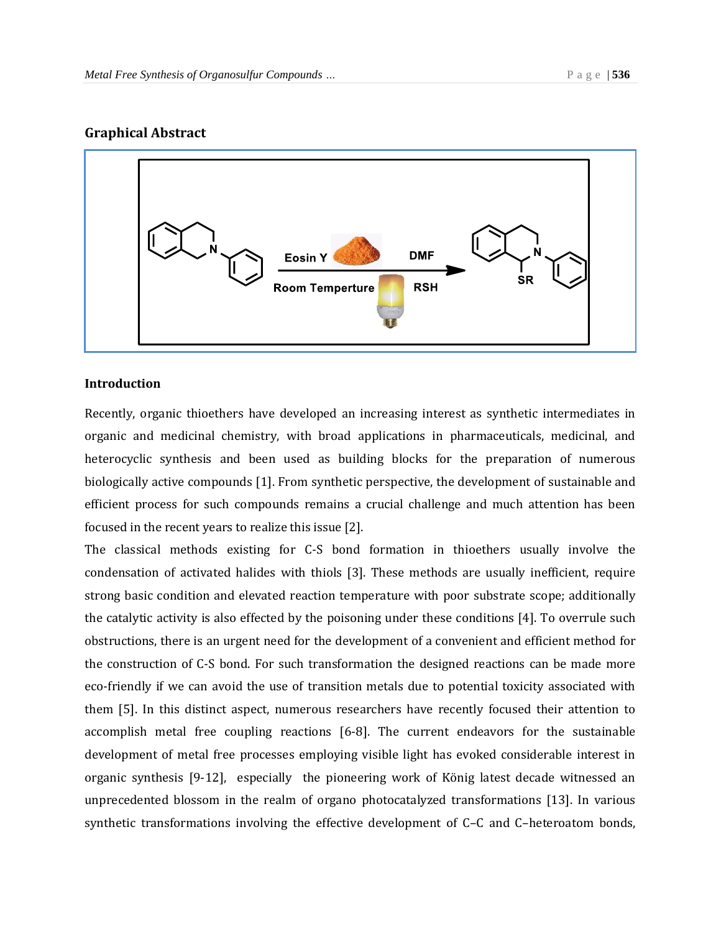#### **Graphical Abstract**



#### **Introduction**

Recently, organic thioethers have developed an increasing interest as synthetic intermediates in organic and medicinal chemistry, with broad applications in pharmaceuticals, medicinal, and heterocyclic synthesis and been used as building blocks for the preparation of numerous biologically active compounds [1]. From synthetic perspective, the development of sustainable and efficient process for such compounds remains a crucial challenge and much attention has been focused in the recent years to realize this issue [2].

The classical methods existing for C-S bond formation in thioethers usually involve the condensation of activated halides with thiols [3]. These methods are usually inefficient, require strong basic condition and elevated reaction temperature with poor substrate scope; additionally the catalytic activity is also effected by the poisoning under these conditions [4]. To overrule such obstructions, there is an urgent need for the development of a convenient and efficient method for the construction of C-S bond. For such transformation the designed reactions can be made more eco-friendly if we can avoid the use of transition metals due to potential toxicity associated with them [5]. In this distinct aspect, numerous researchers have recently focused their attention to accomplish metal free coupling reactions [6-8]. The current endeavors for the sustainable development of metal free processes employing visible light has evoked considerable interest in organic synthesis [9-12], especially the pioneering work of König latest decade witnessed an unprecedented blossom in the realm of organo photocatalyzed transformations [13]. In various synthetic transformations involving the effective development of C–C and C–heteroatom bonds,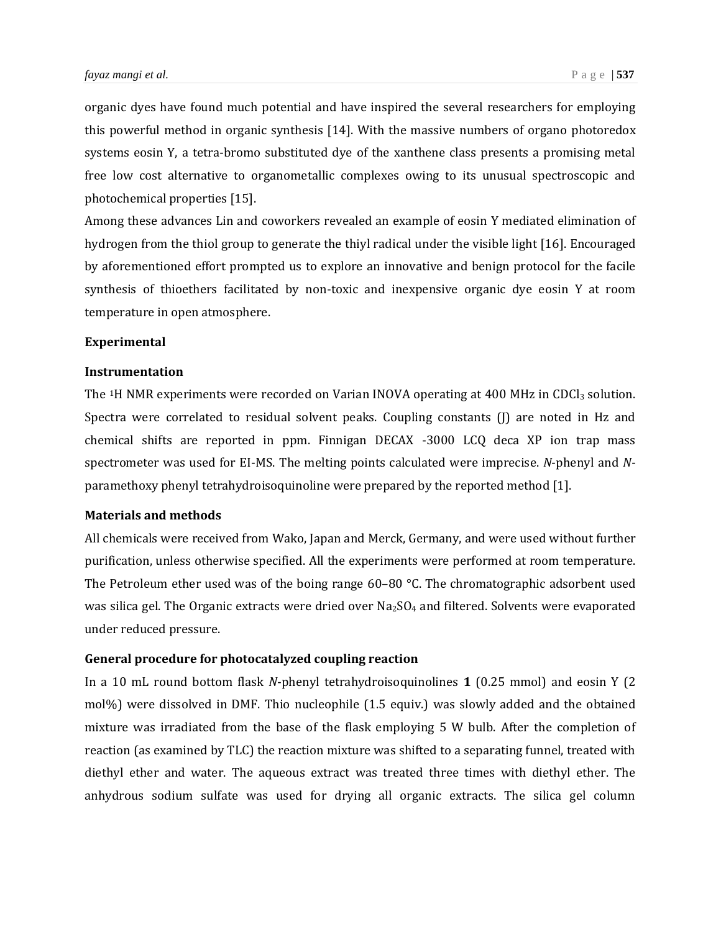organic dyes have found much potential and have inspired the several researchers for employing this powerful method in organic synthesis [14]. With the massive numbers of organo photoredox systems eosin Y, a tetra-bromo substituted dye of the xanthene class presents a promising metal free low cost alternative to organometallic complexes owing to its unusual spectroscopic and photochemical properties [15].

Among these advances Lin and coworkers revealed an example of eosin Y mediated elimination of hydrogen from the thiol group to generate the thiyl radical under the visible light [16]. Encouraged by aforementioned effort prompted us to explore an innovative and benign protocol for the facile synthesis of thioethers facilitated by non-toxic and inexpensive organic dye eosin Y at room temperature in open atmosphere.

#### **Experimental**

#### **Instrumentation**

The  $1H$  NMR experiments were recorded on Varian INOVA operating at 400 MHz in CDCl<sub>3</sub> solution. Spectra were correlated to residual solvent peaks. Coupling constants (J) are noted in Hz and chemical shifts are reported in ppm. Finnigan DECAX -3000 LCQ deca XP ion trap mass spectrometer was used for EI-MS. The melting points calculated were imprecise. *N*-phenyl and *N*paramethoxy phenyl tetrahydroisoquinoline were prepared by the reported method [1].

#### **Materials and methods**

All chemicals were received from Wako, Japan and Merck, Germany, and were used without further purification, unless otherwise specified. All the experiments were performed at room temperature. The Petroleum ether used was of the boing range  $60-80$  °C. The chromatographic adsorbent used was silica gel. The Organic extracts were dried over  $Na<sub>2</sub>SO<sub>4</sub>$  and filtered. Solvents were evaporated under reduced pressure.

#### **General procedure for photocatalyzed coupling reaction**

In a 10 mL round bottom flask *N*-phenyl tetrahydroisoquinolines **1** (0.25 mmol) and eosin Y (2 mol%) were dissolved in DMF. Thio nucleophile (1.5 equiv.) was slowly added and the obtained mixture was irradiated from the base of the flask employing 5 W bulb. After the completion of reaction (as examined by TLC) the reaction mixture was shifted to a separating funnel, treated with diethyl ether and water. The aqueous extract was treated three times with diethyl ether. The anhydrous sodium sulfate was used for drying all organic extracts. The silica gel column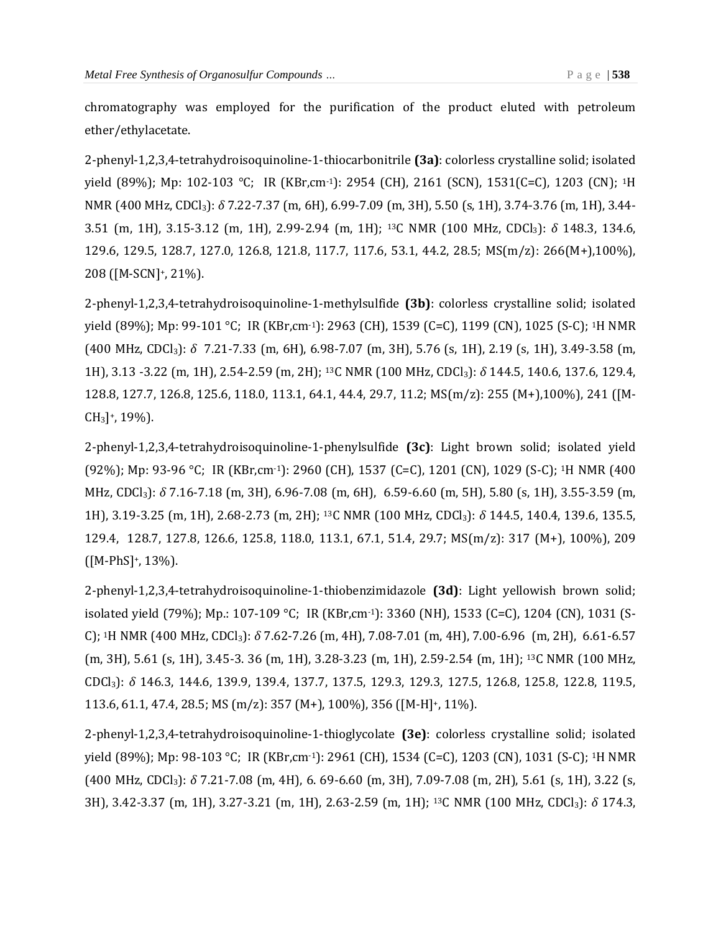chromatography was employed for the purification of the product eluted with petroleum ether/ethylacetate.

2-phenyl-1,2,3,4-tetrahydroisoquinoline-1-thiocarbonitrile **(3a)**: colorless crystalline solid; isolated yield (89%); Mp: 102-103 °C; IR (KBr,cm-1): 2954 (CH), 2161 (SCN), 1531(C=C), 1203 (CN); 1H NMR (400 MHz, CDCl3): *δ* 7.22-7.37 (m, 6H), 6.99-7.09 (m, 3H), 5.50 (s, 1H), 3.74-3.76 (m, 1H), 3.44- 3.51 (m, 1H), 3.15-3.12 (m, 1H), 2.99-2.94 (m, 1H); 13C NMR (100 MHz, CDCl3): *δ* 148.3, 134.6, 129.6, 129.5, 128.7, 127.0, 126.8, 121.8, 117.7, 117.6, 53.1, 44.2, 28.5; MS(m/z): 266(M+),100%), 208 ([M-SCN]+, 21%).

2-phenyl-1,2,3,4-tetrahydroisoquinoline-1-methylsulfide **(3b)**: colorless crystalline solid; isolated yield (89%); Mp: 99-101 °C; IR (KBr,cm-1): 2963 (CH), 1539 (C=C), 1199 (CN), 1025 (S-C); 1H NMR (400 MHz, CDCl3): *δ* 7.21-7.33 (m, 6H), 6.98-7.07 (m, 3H), 5.76 (s, 1H), 2.19 (s, 1H), 3.49-3.58 (m, 1H), 3.13 -3.22 (m, 1H), 2.54-2.59 (m, 2H); 13C NMR (100 MHz, CDCl3): *δ* 144.5, 140.6, 137.6, 129.4, 128.8, 127.7, 126.8, 125.6, 118.0, 113.1, 64.1, 44.4, 29.7, 11.2; MS(m/z): 255 (M+),100%), 241 ([M- $CH<sub>3</sub>]$ <sup>+</sup>, 19%).

2-phenyl-1,2,3,4-tetrahydroisoquinoline-1-phenylsulfide **(3c)**: Light brown solid; isolated yield (92%); Mp: 93-96 °C; IR (KBr,cm-1): 2960 (CH), 1537 (C=C), 1201 (CN), 1029 (S-C); 1H NMR (400 MHz, CDCl3): *δ* 7.16-7.18 (m, 3H), 6.96-7.08 (m, 6H), 6.59-6.60 (m, 5H), 5.80 (s, 1H), 3.55-3.59 (m, 1H), 3.19-3.25 (m, 1H), 2.68-2.73 (m, 2H); 13C NMR (100 MHz, CDCl3): *δ* 144.5, 140.4, 139.6, 135.5, 129.4, 128.7, 127.8, 126.6, 125.8, 118.0, 113.1, 67.1, 51.4, 29.7; MS(m/z): 317 (M+), 100%), 209  $([M-PhS]^+, 13\%).$ 

2-phenyl-1,2,3,4-tetrahydroisoquinoline-1-thiobenzimidazole **(3d)**: Light yellowish brown solid; isolated yield (79%); Mp.: 107-109 °C; IR (KBr,cm-1): 3360 (NH), 1533 (C=C), 1204 (CN), 1031 (S-C); 1H NMR (400 MHz, CDCl3): *δ* 7.62-7.26 (m, 4H), 7.08-7.01 (m, 4H), 7.00-6.96 (m, 2H), 6.61-6.57 (m, 3H), 5.61 (s, 1H), 3.45-3. 36 (m, 1H), 3.28-3.23 (m, 1H), 2.59-2.54 (m, 1H); 13C NMR (100 MHz, CDCl3): *δ* 146.3, 144.6, 139.9, 139.4, 137.7, 137.5, 129.3, 129.3, 127.5, 126.8, 125.8, 122.8, 119.5, 113.6, 61.1, 47.4, 28.5; MS (m/z): 357 (M+), 100%), 356 ([M-H]+, 11%).

2-phenyl-1,2,3,4-tetrahydroisoquinoline-1-thioglycolate **(3e)**: colorless crystalline solid; isolated yield (89%); Mp: 98-103 °C; IR (KBr,cm-1): 2961 (CH), 1534 (C=C), 1203 (CN), 1031 (S-C); 1H NMR (400 MHz, CDCl3): *δ* 7.21-7.08 (m, 4H), 6. 69-6.60 (m, 3H), 7.09-7.08 (m, 2H), 5.61 (s, 1H), 3.22 (s, 3H), 3.42-3.37 (m, 1H), 3.27-3.21 (m, 1H), 2.63-2.59 (m, 1H); 13C NMR (100 MHz, CDCl3): *δ* 174.3,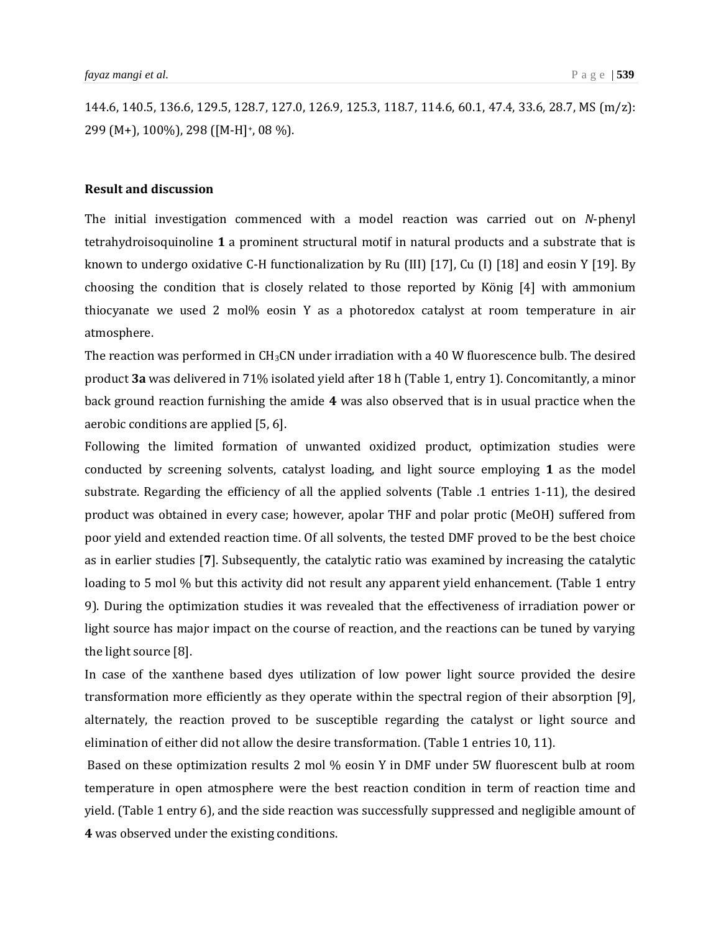144.6, 140.5, 136.6, 129.5, 128.7, 127.0, 126.9, 125.3, 118.7, 114.6, 60.1, 47.4, 33.6, 28.7, MS (m/z): 299 (M+), 100%), 298 ([M-H]+, 08 %).

#### **Result and discussion**

The initial investigation commenced with a model reaction was carried out on *N*-phenyl tetrahydroisoquinoline **1** a prominent structural motif in natural products and a substrate that is known to undergo oxidative C-H functionalization by Ru (III) [17], Cu (I) [18] and eosin Y [19]. By choosing the condition that is closely related to those reported by König [4] with ammonium thiocyanate we used 2 mol% eosin Y as a photoredox catalyst at room temperature in air atmosphere.

The reaction was performed in CH3CN under irradiation with a 40 W fluorescence bulb. The desired product **3a** was delivered in 71% isolated yield after 18 h (Table 1, entry 1). Concomitantly, a minor back ground reaction furnishing the amide **4** was also observed that is in usual practice when the aerobic conditions are applied [5, 6].

Following the limited formation of unwanted oxidized product, optimization studies were conducted by screening solvents, catalyst loading, and light source employing **1** as the model substrate. Regarding the efficiency of all the applied solvents (Table .1 entries 1-11), the desired product was obtained in every case; however, apolar THF and polar protic (MeOH) suffered from poor yield and extended reaction time. Of all solvents, the tested DMF proved to be the best choice as in earlier studies [**7**]. Subsequently, the catalytic ratio was examined by increasing the catalytic loading to 5 mol % but this activity did not result any apparent yield enhancement. (Table 1 entry 9). During the optimization studies it was revealed that the effectiveness of irradiation power or light source has major impact on the course of reaction, and the reactions can be tuned by varying the light source [8].

In case of the xanthene based dyes utilization of low power light source provided the desire transformation more efficiently as they operate within the spectral region of their absorption [9], alternately, the reaction proved to be susceptible regarding the catalyst or light source and elimination of either did not allow the desire transformation. (Table 1 entries 10, 11).

Based on these optimization results 2 mol % eosin Y in DMF under 5W fluorescent bulb at room temperature in open atmosphere were the best reaction condition in term of reaction time and yield. (Table 1 entry 6), and the side reaction was successfully suppressed and negligible amount of **4** was observed under the existing conditions.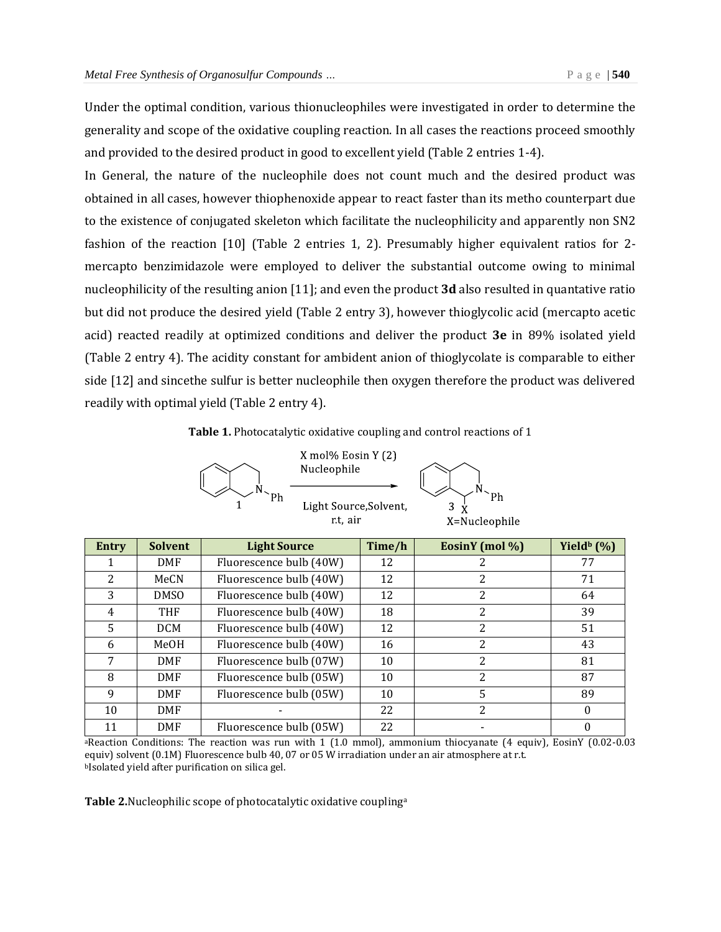Under the optimal condition, various thionucleophiles were investigated in order to determine the generality and scope of the oxidative coupling reaction. In all cases the reactions proceed smoothly and provided to the desired product in good to excellent yield (Table 2 entries 1-4).

In General, the nature of the nucleophile does not count much and the desired product was obtained in all cases, however thiophenoxide appear to react faster than its metho counterpart due to the existence of conjugated skeleton which facilitate the nucleophilicity and apparently non SN2 fashion of the reaction [10] (Table 2 entries 1, 2). Presumably higher equivalent ratios for 2 mercapto benzimidazole were employed to deliver the substantial outcome owing to minimal nucleophilicity of the resulting anion [11]; and even the product **3d** also resulted in quantative ratio but did not produce the desired yield (Table 2 entry 3), however thioglycolic acid (mercapto acetic acid) reacted readily at optimized conditions and deliver the product **3e** in 89% isolated yield (Table 2 entry 4). The acidity constant for ambident anion of thioglycolate is comparable to either side [12] and sincethe sulfur is better nucleophile then oxygen therefore the product was delivered readily with optimal yield (Table 2 entry 4).

#### **Table 1.** Photocatalytic oxidative coupling and control reactions of 1

|  | X mol% Eosin Y (2)<br>Nucleophile  |               |  |
|--|------------------------------------|---------------|--|
|  | Light Source, Solvent,<br>r.t. air | X=Nucleophile |  |

| Entry | <b>Solvent</b>   | <b>Light Source</b>     | Time/h | EosinY (mol %) | Yield <sup>b</sup> $(\%)$ |
|-------|------------------|-------------------------|--------|----------------|---------------------------|
|       | <b>DMF</b>       | Fluorescence bulb (40W) | 12     |                | 77                        |
| 2     | MeCN             | Fluorescence bulb (40W) | 12     |                | 71                        |
| 3     | DMS <sub>0</sub> | Fluorescence bulb (40W) | 12     |                | 64                        |
| 4     | <b>THF</b>       | Fluorescence bulb (40W) | 18     | 2              | 39                        |
| 5     | <b>DCM</b>       | Fluorescence bulb (40W) | 12     | 2              | 51                        |
| 6     | MeOH             | Fluorescence bulb (40W) | 16     | 2              | 43                        |
| 7     | <b>DMF</b>       | Fluorescence bulb (07W) | 10     | 2              | 81                        |
| 8     | <b>DMF</b>       | Fluorescence bulb (05W) | 10     | 2              | 87                        |
| 9     | <b>DMF</b>       | Fluorescence bulb (05W) | 10     | 5              | 89                        |
| 10    | <b>DMF</b>       |                         | 22     | 2              |                           |
| 11    | <b>DMF</b>       | Fluorescence bulb (05W) | 22     |                |                           |

aReaction Conditions: The reaction was run with 1 (1.0 mmol), ammonium thiocyanate (4 equiv), EosinY (0.02-0.03 equiv) solvent (0.1M) Fluorescence bulb 40, 07 or 05 W irradiation under an air atmosphere at r.t. <sup>b</sup>Isolated yield after purification on silica gel.

**Table 2.**Nucleophilic scope of photocatalytic oxidative couplinga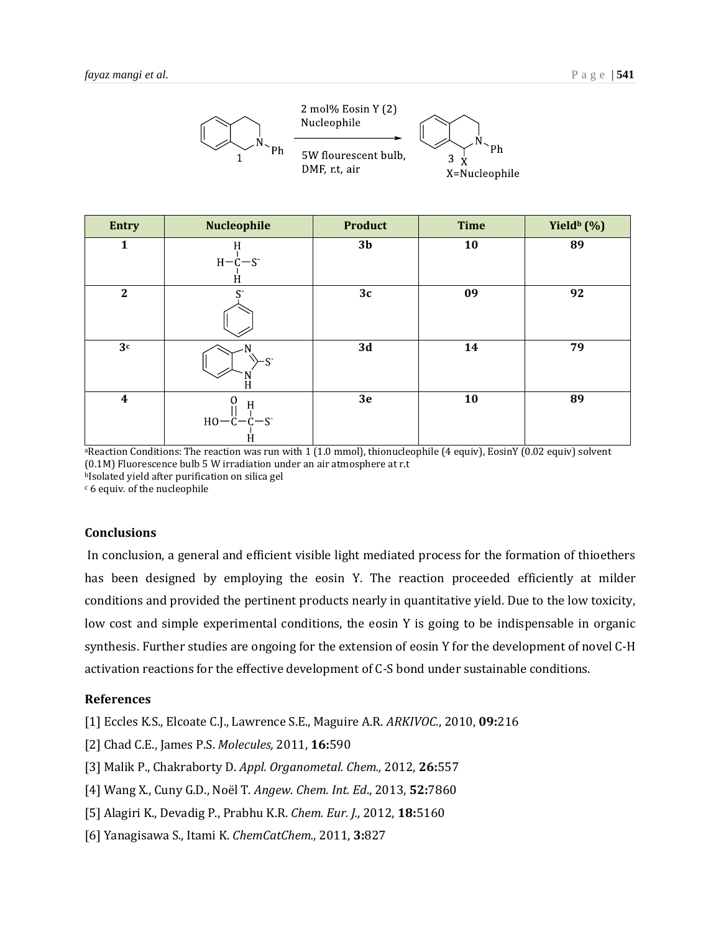

| <b>Entry</b>     | Nucleophile                | <b>Product</b> | <b>Time</b> | Yield <sup>b</sup> (%) |
|------------------|----------------------------|----------------|-------------|------------------------|
| 1                | H<br>$H-C-S$<br>H          | 3 <sub>b</sub> | 10          | 89                     |
| $\mathbf{2}$     | $C^{-}$                    | 3c             | 09          | 92                     |
| 3 <sup>c</sup>   | <b>n-</b><br>$\frac{1}{H}$ | 3d             | 14          | 79                     |
| $\boldsymbol{4}$ | H<br>$HO - C - C - S$<br>Ĥ | 3e             | 10          | 89                     |

aReaction Conditions: The reaction was run with 1 (1.0 mmol), thionucleophile (4 equiv), EosinY (0.02 equiv) solvent (0.1M) Fluorescence bulb 5 W irradiation under an air atmosphere at r.t <sup>b</sup>Isolated yield after purification on silica gel

<sup>c</sup> 6 equiv. of the nucleophile

#### **Conclusions**

In conclusion, a general and efficient visible light mediated process for the formation of thioethers has been designed by employing the eosin Y. The reaction proceeded efficiently at milder conditions and provided the pertinent products nearly in quantitative yield. Due to the low toxicity, low cost and simple experimental conditions, the eosin Y is going to be indispensable in organic synthesis. Further studies are ongoing for the extension of eosin Y for the development of novel C-H activation reactions for the effective development of C-S bond under sustainable conditions.

#### **References**

- [1] Eccles K.S., Elcoate C.J., Lawrence S.E., Maguire A.R. *ARKIVOC*., 2010, **09:**216
- [2] Chad C.E., James P.S. *Molecules,* 2011, **16:**590
- [3] Malik P., Chakraborty D. *Appl. Organometal. Chem.,* 2012, **26:**557
- [4] Wang X., Cuny G.D., Noël T. *Angew. Chem. Int. Ed*., 2013, **52:**7860
- [5] Alagiri K., Devadig P., Prabhu K.R. *Chem. Eur. J.,* 2012, **18:**5160
- [6] Yanagisawa S., Itami K. *ChemCatChem.,* 2011, **3:**827